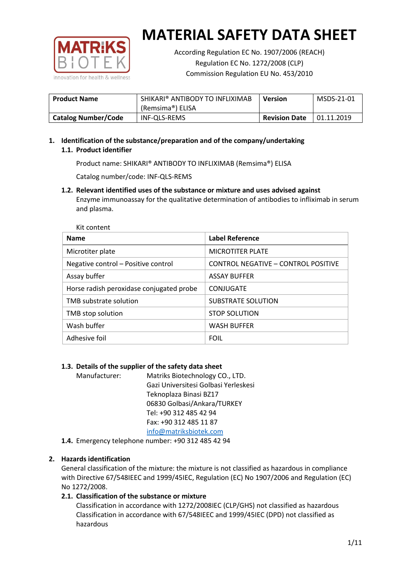

According Regulation EC No. 1907/2006 (REACH) Regulation EC No. 1272/2008 (CLP) Commission Regulation EU No. 453/2010

| <b>Product Name</b>        | SHIKARI® ANTIBODY TO INFLIXIMAB<br>(Remsima®) ELISA | <b>Version</b>       | MSDS-21-01 |
|----------------------------|-----------------------------------------------------|----------------------|------------|
| <b>Catalog Number/Code</b> | INF-QLS-REMS                                        | <b>Revision Date</b> | 01.11.2019 |

# **1. Identification of the substance/preparation and of the company/undertaking 1.1. Product identifier**

Product name: SHIKARI® ANTIBODY TO INFLIXIMAB (Remsima®) ELISA

Catalog number/code: INF-QLS-REMS

**1.2. Relevant identified uses of the substance or mixture and uses advised against** Enzyme immunoassay for the qualitative determination of antibodies to infliximab in serum and plasma.

| <b>Name</b>                              | <b>Label Reference</b>                     |
|------------------------------------------|--------------------------------------------|
| Microtiter plate                         | <b>MICROTITER PLATE</b>                    |
| Negative control - Positive control      | <b>CONTROL NEGATIVE - CONTROL POSITIVE</b> |
| Assay buffer                             | <b>ASSAY BUFFER</b>                        |
| Horse radish peroxidase conjugated probe | CONJUGATE                                  |
| TMB substrate solution                   | SUBSTRATE SOLUTION                         |
| TMB stop solution                        | <b>STOP SOLUTION</b>                       |
| Wash buffer                              | <b>WASH BUFFER</b>                         |
| Adhesive foil                            | <b>FOIL</b>                                |

## **1.3. Details of the supplier of the safety data sheet**

Manufacturer: Matriks Biotechnology CO., LTD. Gazi Universitesi Golbasi Yerleskesi Teknoplaza Binasi BZ17 06830 Golbasi/Ankara/TURKEY Tel: +90 312 485 42 94 Fax: +90 312 485 11 87 [info@matriksbiotek.com](mailto:info@matriksbiotek.com)

**1.4.** Emergency telephone number: +90 312 485 42 94

## **2. Hazards identification**

General classification of the mixture: the mixture is not classified as hazardous in compliance with Directive 67/548IEEC and 1999/45IEC, Regulation (EC) No 1907/2006 and Regulation (EC) No 1272/2008.

## **2.1. Classification of the substance or mixture**

Classification in accordance with 1272/2008IEC (CLP/GHS) not classified as hazardous Classification in accordance with 67/548IEEC and 1999/45IEC (DPD) not classified as hazardous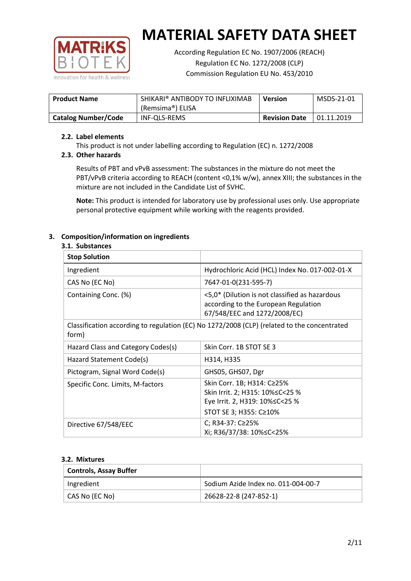

According Regulation EC No. 1907/2006 (REACH) Regulation EC No. 1272/2008 (CLP) Commission Regulation EU No. 453/2010

| <b>Product Name</b>        | SHIKARI® ANTIBODY TO INFLIXIMAB<br>(Remsima®) ELISA | <b>Version</b>       | MSDS-21-01  |
|----------------------------|-----------------------------------------------------|----------------------|-------------|
|                            |                                                     |                      |             |
| <b>Catalog Number/Code</b> | INF-QLS-REMS                                        | <b>Revision Date</b> | 101.11.2019 |

### **2.2. Label elements**

This product is not under labelling according to Regulation (EC) n. 1272/2008

## **2.3. Other hazards**

Results of PBT and vPvB assessment: The substances in the mixture do not meet the PBT/vPvB criteria according to REACH (content <0,1% w/w), annex XIII; the substances in the mixture are not included in the Candidate List of SVHC.

**Note:** This product is intended for laboratory use by professional uses only. Use appropriate personal protective equipment while working with the reagents provided.

## **3. Composition/information on ingredients**

### **3.1. Substances**

| <b>Stop Solution</b>                                                                                 |                                                                                                                               |
|------------------------------------------------------------------------------------------------------|-------------------------------------------------------------------------------------------------------------------------------|
| Ingredient                                                                                           | Hydrochloric Acid (HCL) Index No. 017-002-01-X                                                                                |
| CAS No (EC No)                                                                                       | 7647-01-0(231-595-7)                                                                                                          |
| Containing Conc. (%)                                                                                 | <5,0* (Dilution is not classified as hazardous<br>according to the European Regulation<br>67/548/EEC and 1272/2008/EC)        |
| Classification according to regulation (EC) No 1272/2008 (CLP) (related to the concentrated<br>form) |                                                                                                                               |
| Hazard Class and Category Codes(s)                                                                   | Skin Corr. 1B STOT SE 3                                                                                                       |
| Hazard Statement Code(s)                                                                             | H314, H335                                                                                                                    |
| Pictogram, Signal Word Code(s)                                                                       | GHS05, GHS07, Dgr                                                                                                             |
| Specific Conc. Limits, M-factors                                                                     | Skin Corr. 1B; H314: C≥25%<br>Skin Irrit. 2; H315: 10% ≤ C < 25 %<br>Eye Irrit. 2, H319: 10%≤C<25 %<br>STOT SE 3; H355: C≥10% |
| Directive 67/548/EEC                                                                                 | C; R34-37: C≥25%<br>Xi; R36/37/38: 10% <<<<<<<                                                                                |

#### **3.2. Mixtures**

| <b>Controls, Assay Buffer</b> |                                     |
|-------------------------------|-------------------------------------|
| Ingredient                    | Sodium Azide Index no. 011-004-00-7 |
| CAS No (EC No)                | 26628-22-8 (247-852-1)              |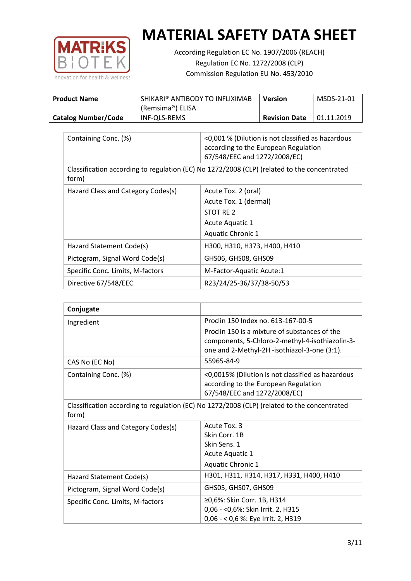

According Regulation EC No. 1907/2006 (REACH) Regulation EC No. 1272/2008 (CLP) Commission Regulation EU No. 453/2010

| <b>Product Name</b>        | SHIKARI® ANTIBODY TO INFLIXIMAB<br>(Remsima®) ELISA | <b>Version</b>       | MSDS-21-01 |
|----------------------------|-----------------------------------------------------|----------------------|------------|
| <b>Catalog Number/Code</b> | INF-QLS-REMS                                        | <b>Revision Date</b> | 01.11.2019 |

| Containing Conc. (%)                                                                                 | <0,001 % (Dilution is not classified as hazardous<br>according to the European Regulation<br>67/548/EEC and 1272/2008/EC) |  |
|------------------------------------------------------------------------------------------------------|---------------------------------------------------------------------------------------------------------------------------|--|
| Classification according to regulation (EC) No 1272/2008 (CLP) (related to the concentrated<br>form) |                                                                                                                           |  |
| Hazard Class and Category Codes(s)                                                                   | Acute Tox. 2 (oral)                                                                                                       |  |
|                                                                                                      | Acute Tox. 1 (dermal)                                                                                                     |  |
|                                                                                                      | STOT RE 2                                                                                                                 |  |
|                                                                                                      | Acute Aquatic 1                                                                                                           |  |
|                                                                                                      | <b>Aquatic Chronic 1</b>                                                                                                  |  |
| Hazard Statement Code(s)                                                                             | H300, H310, H373, H400, H410                                                                                              |  |
| Pictogram, Signal Word Code(s)                                                                       | GHS06, GHS08, GHS09                                                                                                       |  |
| Specific Conc. Limits, M-factors                                                                     | M-Factor-Aquatic Acute:1                                                                                                  |  |
| Directive 67/548/EEC                                                                                 | R23/24/25-36/37/38-50/53                                                                                                  |  |

| Conjugate                          |                                                                                                                                                  |
|------------------------------------|--------------------------------------------------------------------------------------------------------------------------------------------------|
| Ingredient                         | Proclin 150 Index no. 613-167-00-5                                                                                                               |
|                                    | Proclin 150 is a mixture of substances of the<br>components, 5-Chloro-2-methyl-4-isothiazolin-3-<br>one and 2-Methyl-2H -isothiazol-3-one (3:1). |
| CAS No (EC No)                     | 55965-84-9                                                                                                                                       |
| Containing Conc. (%)               | <0,0015% (Dilution is not classified as hazardous<br>according to the European Regulation<br>67/548/EEC and 1272/2008/EC)                        |
| form)                              | Classification according to regulation (EC) No 1272/2008 (CLP) (related to the concentrated                                                      |
| Hazard Class and Category Codes(s) | Acute Tox. 3<br>Skin Corr. 1B<br>Skin Sens. 1<br>Acute Aquatic 1<br><b>Aquatic Chronic 1</b>                                                     |
| Hazard Statement Code(s)           | H301, H311, H314, H317, H331, H400, H410                                                                                                         |
| Pictogram, Signal Word Code(s)     | GHS05, GHS07, GHS09                                                                                                                              |
| Specific Conc. Limits, M-factors   | ≥0,6%: Skin Corr. 1B, H314<br>0,06 - < 0,6%: Skin Irrit. 2, H315<br>0,06 - < 0,6 %: Eye Irrit. 2, H319                                           |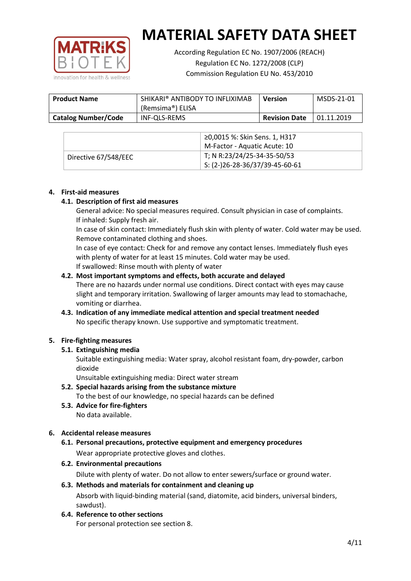

According Regulation EC No. 1907/2006 (REACH) Regulation EC No. 1272/2008 (CLP) Commission Regulation EU No. 453/2010

| <b>Product Name</b>        | SHIKARI® ANTIBODY TO INFLIXIMAB<br>(Remsima®) ELISA | <b>Version</b>       | MSDS-21-01 |
|----------------------------|-----------------------------------------------------|----------------------|------------|
| <b>Catalog Number/Code</b> | INF-QLS-REMS                                        | <b>Revision Date</b> | 01.11.2019 |

|                      | ≥0,0015 %: Skin Sens. 1, H317          |
|----------------------|----------------------------------------|
|                      | M-Factor - Aquatic Acute: 10           |
| Directive 67/548/EEC | T; N R:23/24/25-34-35-50/53            |
|                      | $\vert$ S: (2-)26-28-36/37/39-45-60-61 |

#### **4. First-aid measures**

### **4.1. Description of first aid measures**

General advice: No special measures required. Consult physician in case of complaints. If inhaled: Supply fresh air.

In case of skin contact: Immediately flush skin with plenty of water. Cold water may be used. Remove contaminated clothing and shoes.

In case of eye contact: Check for and remove any contact lenses. Immediately flush eyes with plenty of water for at least 15 minutes. Cold water may be used. If swallowed: Rinse mouth with plenty of water

### **4.2. Most important symptoms and effects, both accurate and delayed**

There are no hazards under normal use conditions. Direct contact with eyes may cause slight and temporary irritation. Swallowing of larger amounts may lead to stomachache, vomiting or diarrhea.

## **4.3. Indication of any immediate medical attention and special treatment needed** No specific therapy known. Use supportive and symptomatic treatment.

## **5. Fire-fighting measures**

## **5.1. Extinguishing media**

Suitable extinguishing media: Water spray, alcohol resistant foam, dry-powder, carbon dioxide

Unsuitable extinguishing media: Direct water stream

- **5.2. Special hazards arising from the substance mixture** To the best of our knowledge, no special hazards can be defined
- **5.3. Advice for fire-fighters** No data available.

## **6. Accidental release measures**

- **6.1. Personal precautions, protective equipment and emergency procedures** Wear appropriate protective gloves and clothes.
- **6.2. Environmental precautions**

Dilute with plenty of water. Do not allow to enter sewers/surface or ground water.

#### **6.3. Methods and materials for containment and cleaning up**

Absorb with liquid-binding material (sand, diatomite, acid binders, universal binders, sawdust).

**6.4. Reference to other sections**

For personal protection see section 8.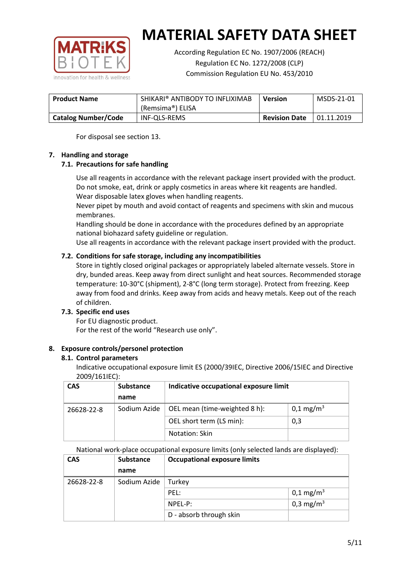

According Regulation EC No. 1907/2006 (REACH) Regulation EC No. 1272/2008 (CLP) Commission Regulation EU No. 453/2010

| <b>Product Name</b>        | SHIKARI® ANTIBODY TO INFLIXIMAB<br>(Remsima®) ELISA | <b>Version</b>       | MSDS-21-01 |
|----------------------------|-----------------------------------------------------|----------------------|------------|
| <b>Catalog Number/Code</b> | INF-QLS-REMS                                        | <b>Revision Date</b> | 01.11.2019 |

For disposal see section 13.

### **7. Handling and storage**

## **7.1. Precautions for safe handling**

Use all reagents in accordance with the relevant package insert provided with the product. Do not smoke, eat, drink or apply cosmetics in areas where kit reagents are handled. Wear disposable latex gloves when handling reagents.

Never pipet by mouth and avoid contact of reagents and specimens with skin and mucous membranes.

Handling should be done in accordance with the procedures defined by an appropriate national biohazard safety guideline or regulation.

Use all reagents in accordance with the relevant package insert provided with the product.

## **7.2. Conditions for safe storage, including any incompatibilities**

Store in tightly closed original packages or appropriately labeled alternate vessels. Store in dry, bunded areas. Keep away from direct sunlight and heat sources. Recommended storage temperature: 10-30°C (shipment), 2-8°C (long term storage). Protect from freezing. Keep away from food and drinks. Keep away from acids and heavy metals. Keep out of the reach of children.

## **7.3. Specific end uses**

For EU diagnostic product. For the rest of the world "Research use only".

## **8. Exposure controls/personel protection**

#### **8.1. Control parameters**

Indicative occupational exposure limit ES (2000/39IEC, Directive 2006/15IEC and Directive 2009/161IEC):

| <b>CAS</b> | <b>Substance</b> | Indicative occupational exposure limit |                         |
|------------|------------------|----------------------------------------|-------------------------|
|            | name             |                                        |                         |
| 26628-22-8 | Sodium Azide     | OEL mean (time-weighted 8 h):          | $0,1 \,\mathrm{mg/m^3}$ |
|            |                  | OEL short term (LS min):               | 0,3                     |
|            |                  | Notation: Skin                         |                         |

National work-place occupational exposure limits (only selected lands are displayed):

| <b>CAS</b> | <b>Substance</b> | <b>Occupational exposure limits</b> |                         |
|------------|------------------|-------------------------------------|-------------------------|
|            | name             |                                     |                         |
| 26628-22-8 | Sodium Azide     | Turkey                              |                         |
|            |                  | PEL:                                | $0,1 \,\mathrm{mg/m^3}$ |
|            |                  | $NPEL-P$ :                          | 0,3 mg/m <sup>3</sup>   |
|            |                  | D - absorb through skin             |                         |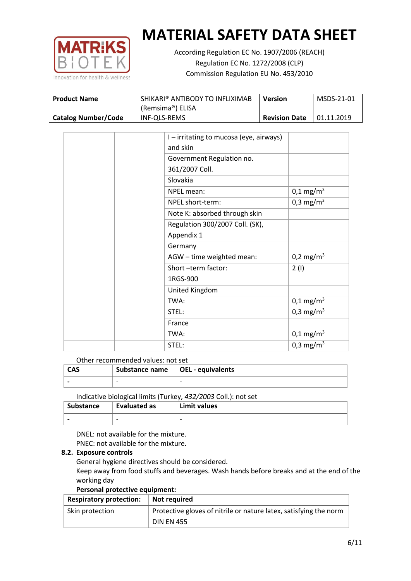

According Regulation EC No. 1907/2006 (REACH) Regulation EC No. 1272/2008 (CLP) Commission Regulation EU No. 453/2010

| <b>Product Name</b>        | SHIKARI® ANTIBODY TO INFLIXIMAB<br>(Remsima®) ELISA | <b>Version</b>       | MSDS-21-01  |
|----------------------------|-----------------------------------------------------|----------------------|-------------|
| <b>Catalog Number/Code</b> | INF-QLS-REMS                                        | <b>Revision Date</b> | 101.11.2019 |

|  | I - irritating to mucosa (eye, airways) |                         |
|--|-----------------------------------------|-------------------------|
|  | and skin                                |                         |
|  | Government Regulation no.               |                         |
|  | 361/2007 Coll.                          |                         |
|  | Slovakia                                |                         |
|  | NPEL mean:                              | $0,1 \,\mathrm{mg/m^3}$ |
|  | NPEL short-term:                        | 0,3 mg/m <sup>3</sup>   |
|  | Note K: absorbed through skin           |                         |
|  | Regulation 300/2007 Coll. (SK),         |                         |
|  | Appendix 1                              |                         |
|  | Germany                                 |                         |
|  | AGW - time weighted mean:               | 0,2 mg/m <sup>3</sup>   |
|  | Short-term factor:                      | 2(1)                    |
|  | 1RGS-900                                |                         |
|  | United Kingdom                          |                         |
|  | TWA:                                    | $0,1 \text{ mg/m}^3$    |
|  | STEL:                                   | 0,3 mg/m <sup>3</sup>   |
|  | France                                  |                         |
|  | TWA:                                    | $0,1 \text{ mg/m}^3$    |
|  | STEL:                                   | 0,3 mg/m <sup>3</sup>   |

Other recommended values: not set

| <b>CAS</b> | Substance name   OEL - equivalents |   |
|------------|------------------------------------|---|
|            | $\overline{\phantom{0}}$           | - |
|            |                                    |   |

Indicative biological limits (Turkey, *432/2003* Coll.): not set

| <b>Substance</b> | Evaluated as             | Limit values             |
|------------------|--------------------------|--------------------------|
|                  | $\overline{\phantom{0}}$ | $\overline{\phantom{0}}$ |

DNEL: not available for the mixture. PNEC: not available for the mixture.

## **8.2. Exposure controls**

General hygiene directives should be considered.

Keep away from food stuffs and beverages. Wash hands before breaks and at the end of the working day

#### **Personal protective equipment:**

| <b>Respiratory protection:</b> | Not required                                                      |
|--------------------------------|-------------------------------------------------------------------|
| Skin protection                | Protective gloves of nitrile or nature latex, satisfying the norm |
|                                | <b>DIN EN 455</b>                                                 |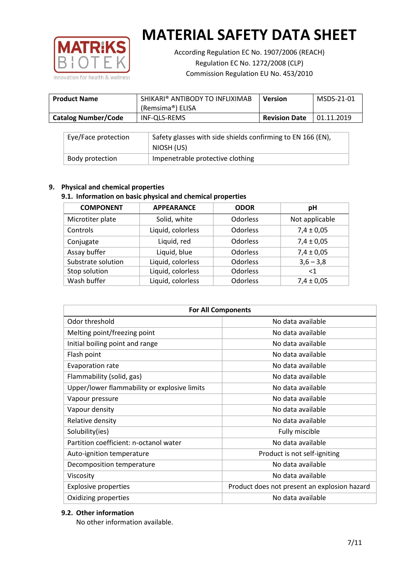

According Regulation EC No. 1907/2006 (REACH) Regulation EC No. 1272/2008 (CLP) Commission Regulation EU No. 453/2010

| <b>Product Name</b>        | SHIKARI® ANTIBODY TO INFLIXIMAB<br>(Remsima®) ELISA | <b>Version</b>       | MSDS-21-01 |
|----------------------------|-----------------------------------------------------|----------------------|------------|
| <b>Catalog Number/Code</b> | INF-QLS-REMS                                        | <b>Revision Date</b> | 01.11.2019 |

| Eye/Face protection | Safety glasses with side shields confirming to EN 166 (EN),<br>NIOSH (US) |
|---------------------|---------------------------------------------------------------------------|
| Body protection     | Impenetrable protective clothing                                          |

## **9. Physical and chemical properties**

## **9.1. Information on basic physical and chemical properties**

| <b>COMPONENT</b>   | <b>APPEARANCE</b> | <b>ODOR</b> | рH             |
|--------------------|-------------------|-------------|----------------|
| Microtiter plate   | Solid, white      | Odorless    | Not applicable |
| Controls           | Liquid, colorless | Odorless    | $7,4 \pm 0,05$ |
| Conjugate          | Liquid, red       | Odorless    | $7,4 \pm 0,05$ |
| Assay buffer       | Liquid, blue      | Odorless    | $7,4 \pm 0,05$ |
| Substrate solution | Liquid, colorless | Odorless    | $3,6 - 3,8$    |
| Stop solution      | Liquid, colorless | Odorless    | <1             |
| Wash buffer        | Liquid, colorless | Odorless    | $7,4 \pm 0,05$ |

| <b>For All Components</b>                    |                                              |  |  |
|----------------------------------------------|----------------------------------------------|--|--|
| Odor threshold                               | No data available                            |  |  |
| Melting point/freezing point                 | No data available                            |  |  |
| Initial boiling point and range              | No data available                            |  |  |
| Flash point                                  | No data available                            |  |  |
| <b>Evaporation rate</b>                      | No data available                            |  |  |
| Flammability (solid, gas)                    | No data available                            |  |  |
| Upper/lower flammability or explosive limits | No data available                            |  |  |
| Vapour pressure                              | No data available                            |  |  |
| Vapour density                               | No data available                            |  |  |
| Relative density                             | No data available                            |  |  |
| Solubility(ies)                              | Fully miscible                               |  |  |
| Partition coefficient: n-octanol water       | No data available                            |  |  |
| Auto-ignition temperature                    | Product is not self-igniting                 |  |  |
| Decomposition temperature                    | No data available                            |  |  |
| Viscosity                                    | No data available                            |  |  |
| <b>Explosive properties</b>                  | Product does not present an explosion hazard |  |  |
| Oxidizing properties                         | No data available                            |  |  |

## **9.2. Other information**

No other information available.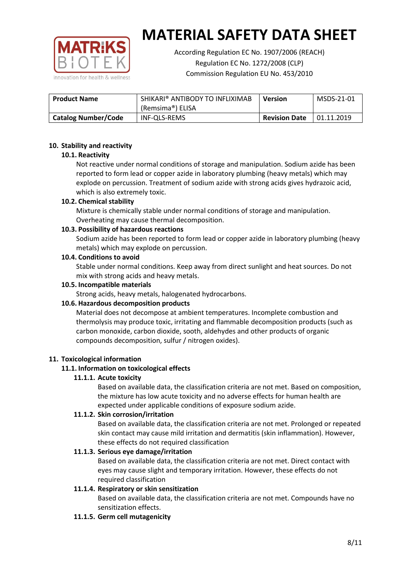

According Regulation EC No. 1907/2006 (REACH) Regulation EC No. 1272/2008 (CLP) Commission Regulation EU No. 453/2010

| SHIKARI® ANTIBODY TO INFLIXIMAB<br><b>Product Name</b> |                  | <b>Version</b>       | MSDS-21-01 |
|--------------------------------------------------------|------------------|----------------------|------------|
|                                                        | (Remsima®) ELISA |                      |            |
| <b>Catalog Number/Code</b>                             | INF-QLS-REMS     | <b>Revision Date</b> | 01.11.2019 |

### **10. Stability and reactivity**

### **10.1. Reactivity**

Not reactive under normal conditions of storage and manipulation. Sodium azide has been reported to form lead or copper azide in laboratory plumbing (heavy metals) which may explode on percussion. Treatment of sodium azide with strong acids gives hydrazoic acid, which is also extremely toxic.

### **10.2. Chemical stability**

Mixture is chemically stable under normal conditions of storage and manipulation. Overheating may cause thermal decomposition.

### **10.3. Possibility of hazardous reactions**

Sodium azide has been reported to form lead or copper azide in laboratory plumbing (heavy metals) which may explode on percussion.

#### **10.4. Conditions to avoid**

Stable under normal conditions. Keep away from direct sunlight and heat sources. Do not mix with strong acids and heavy metals.

#### **10.5. Incompatible materials**

Strong acids, heavy metals, halogenated hydrocarbons.

## **10.6. Hazardous decomposition products**

Material does not decompose at ambient temperatures. Incomplete combustion and thermolysis may produce toxic, irritating and flammable decomposition products (such as carbon monoxide, carbon dioxide, sooth, aldehydes and other products of organic compounds decomposition, sulfur / nitrogen oxides).

## **11. Toxicological information**

## **11.1. Information on toxicological effects**

## **11.1.1. Acute toxicity**

Based on available data, the classification criteria are not met. Based on composition, the mixture has low acute toxicity and no adverse effects for human health are expected under applicable conditions of exposure sodium azide.

## **11.1.2. Skin corrosion/irritation**

Based on available data, the classification criteria are not met. Prolonged or repeated skin contact may cause mild irritation and dermatitis (skin inflammation). However, these effects do not required classification

## **11.1.3. Serious eye damage/irritation**

Based on available data, the classification criteria are not met. Direct contact with eyes may cause slight and temporary irritation. However, these effects do not required classification

## **11.1.4. Respiratory or skin sensitization**

Based on available data, the classification criteria are not met. Compounds have no sensitization effects.

#### **11.1.5. Germ cell mutagenicity**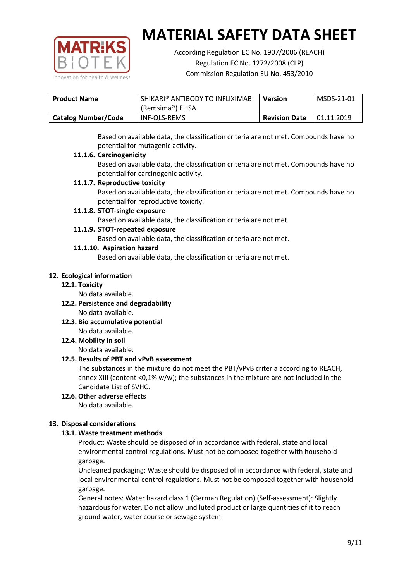

According Regulation EC No. 1907/2006 (REACH) Regulation EC No. 1272/2008 (CLP) Commission Regulation EU No. 453/2010

| <b>Product Name</b>        | SHIKARI® ANTIBODY TO INFLIXIMAB<br>(Remsima®) ELISA | <b>Version</b>       | MSDS-21-01        |
|----------------------------|-----------------------------------------------------|----------------------|-------------------|
| <b>Catalog Number/Code</b> | INF-QLS-REMS                                        | <b>Revision Date</b> | $\mid$ 01.11.2019 |

Based on available data, the classification criteria are not met. Compounds have no potential for mutagenic activity.

### **11.1.6. Carcinogenicity**

Based on available data, the classification criteria are not met. Compounds have no potential for carcinogenic activity.

### **11.1.7. Reproductive toxicity**

Based on available data, the classification criteria are not met. Compounds have no potential for reproductive toxicity.

### **11.1.8. STOT-single exposure**

Based on available data, the classification criteria are not met

### **11.1.9. STOT-repeated exposure**

Based on available data, the classification criteria are not met.

### **11.1.10. Aspiration hazard**

Based on available data, the classification criteria are not met.

### **12. Ecological information**

#### **12.1. Toxicity**

No data available.

- **12.2. Persistence and degradability** No data available.
- **12.3. Bio accumulative potential** No data available.

**12.4. Mobility in soil**

No data available.

## **12.5. Results of PBT and vPvB assessment**

The substances in the mixture do not meet the PBT/vPvB criteria according to REACH, annex XIII (content <0,1% w/w); the substances in the mixture are not included in the Candidate List of SVHC.

#### **12.6. Other adverse effects** No data available.

## **13. Disposal considerations**

## **13.1. Waste treatment methods**

Product: Waste should be disposed of in accordance with federal, state and local environmental control regulations. Must not be composed together with household garbage.

Uncleaned packaging: Waste should be disposed of in accordance with federal, state and local environmental control regulations. Must not be composed together with household garbage.

General notes: Water hazard class 1 (German Regulation) (Self-assessment): Slightly hazardous for water. Do not allow undiluted product or large quantities of it to reach ground water, water course or sewage system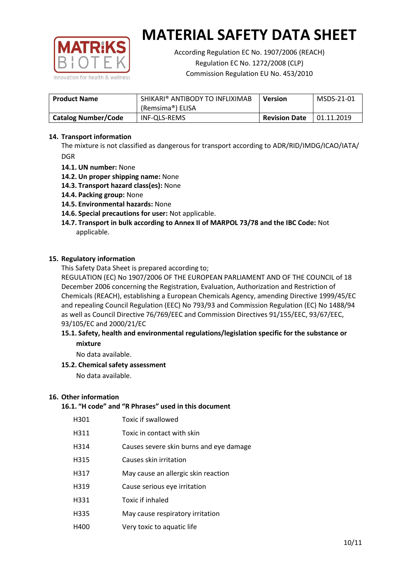

According Regulation EC No. 1907/2006 (REACH) Regulation EC No. 1272/2008 (CLP) Commission Regulation EU No. 453/2010

| <b>Product Name</b>        | SHIKARI® ANTIBODY TO INFLIXIMAB<br>(Remsima®) ELISA | <b>Version</b>       | MSDS-21-01 |
|----------------------------|-----------------------------------------------------|----------------------|------------|
| <b>Catalog Number/Code</b> | INF-QLS-REMS                                        | <b>Revision Date</b> | 01.11.2019 |

## **14. Transport information**

The mixture is not classified as dangerous for transport according to ADR/RID/IMDG/ICAO/IATA/ DGR

- **14.1. UN number:** None
- **14.2. Un proper shipping name:** None
- **14.3. Transport hazard class(es):** None
- **14.4. Packing group:** None
- **14.5. Environmental hazards:** None
- **14.6. Special precautions for user:** Not applicable.
- **14.7. Transport in bulk according to Annex II of MARPOL 73/78 and the IBC Code:** Not applicable.

#### **15. Regulatory information**

This Safety Data Sheet is prepared according to;

REGULATION (EC) No 1907/2006 OF THE EUROPEAN PARLIAMENT AND OF THE COUNCIL of 18 December 2006 concerning the Registration, Evaluation, Authorization and Restriction of Chemicals (REACH), establishing a European Chemicals Agency, amending Directive 1999/45/EC and repealing Council Regulation (EEC) No 793/93 and Commission Regulation (EC) No 1488/94 as well as Council Directive 76/769/EEC and Commission Directives 91/155/EEC, 93/67/EEC, 93/105/EC and 2000/21/EC

### **15.1. Safety, health and environmental regulations/legislation specific for the substance or mixture**

No data available.

## **15.2. Chemical safety assessment**

No data available.

#### **16. Other information**

## **16.1. "H code" and "R Phrases" used in this document**

| H301 | Toxic if swallowed |
|------|--------------------|
|------|--------------------|

- H311 Toxic in contact with skin
- H314 Causes severe skin burns and eye damage
- H315 Causes skin irritation
- H317 May cause an allergic skin reaction
- H319 Cause serious eye irritation
- H331 Toxic if inhaled
- H335 May cause respiratory irritation
- H400 Very toxic to aquatic life